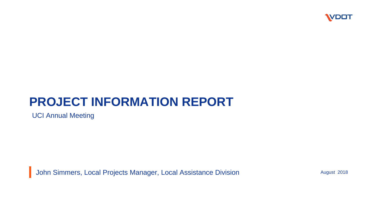

#### **PROJECT INFORMATION REPORT**

UCI Annual Meeting

**John Simmers, Local Projects Manager, Local Assistance Division** 

August 2018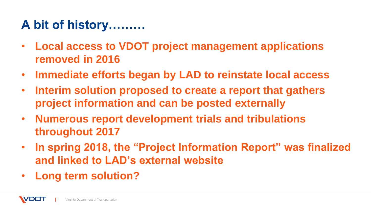## **A bit of history………**

- **Local access to VDOT project management applications removed in 2016**
- **Immediate efforts began by LAD to reinstate local access**
- **Interim solution proposed to create a report that gathers project information and can be posted externally**
- **Numerous report development trials and tribulations throughout 2017**
- **In spring 2018, the "Project Information Report" was finalized and linked to LAD's external website**
- **Long term solution?**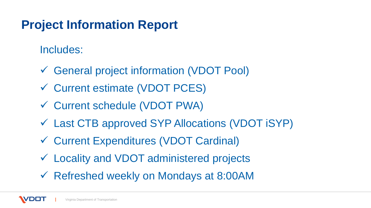#### **Project Information Report**

Includes:

- General project information (VDOT Pool)
- Current estimate (VDOT PCES)
- Current schedule (VDOT PWA)
- Last CTB approved SYP Allocations (VDOT iSYP)
- Current Expenditures (VDOT Cardinal)
- Locality and VDOT administered projects
- Refreshed weekly on Mondays at 8:00AM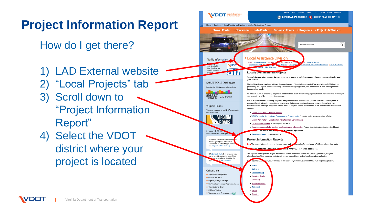## **Project Information Report**

How do I get there?

1) LAD External website 2) "Local Projects" tab 3) Scroll down to "Project Information Report"

4) Select the VDOT district where your project is located

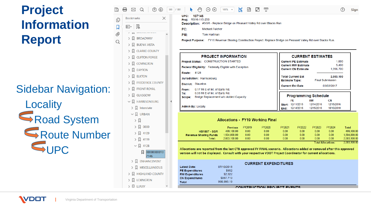## **Project Information Report**

**Sidebar Navigation:** 

Locality Road System Route Number  $\nabla$ UPC

Virginia Department of Transportation

| X<br><b>Bookmarks</b>                                                                                                                                                                                                                                                                                                  |                |
|------------------------------------------------------------------------------------------------------------------------------------------------------------------------------------------------------------------------------------------------------------------------------------------------------------------------|----------------|
| 凤<br>$\boxed{2}$ = $\boxed{\div}$                                                                                                                                                                                                                                                                                      |                |
| <b>DN</b><br><b>A</b> BROADWAY<br>⋋<br><b>N</b> BUENA VISTA<br>⋋<br><b>Q</b> CLARKE COUNTY<br>$\mathcal{P}$<br><b>Q</b> CLIFTON FORGE<br>$\mathcal{E}$<br>$>$ $\lfloor$ covington<br><b>Q</b> DAYTON<br>$\mathcal{P}$<br><b>Q</b> ELKTON<br>$\mathcal{P}$<br><b>R</b> FREDERICK COUNTY<br>><br>$\Box$ FRONT ROYAL<br>⋋ |                |
| $\vee$ $\Box$ HARRISONBURG<br>$\sum$ Interstate<br>$\backsim$ $\Box$ URBAN<br>› 디<br>$>$ $\Box$ 0000                                                                                                                                                                                                                   |                |
| $\sum$ 4109<br>□ 4119<br>$\left\langle \right\rangle$<br>$\vee$ Q 4128<br><b>Q</b> 00000000010<br>7146<br><b>N</b> ENHANCEMENT<br>≻<br>MISCELLANEOUS<br>⋋<br><b>A</b> HIGHLAND COUNTY<br>$\rightarrow$<br>$\Box$ LEXINGTON<br>⋋<br>$>$ $\Box$ LURAY                                                                    |                |
|                                                                                                                                                                                                                                                                                                                        | $\sum$ GLASGOW |

員

 $\boxtimes$ 

 $\mathbb{B}$ 

|--|--|--|--|--|--|--|--|--|--|--|--|

107146 UPC: Proj: RS16-115-250

Description: #SGR - Replace Bridge on Pleasant Valley Rd over Blacks Run

| ٢C: | Michael.Fulche |
|-----|----------------|

PM<sup>-</sup> **Tom Hartman** 

Project Purpose: FY16 Revenue Sharing Construction Project. Replace Bridge on Pleasant Valley Rd over Blacks Run.

| <b>PROJECT INFORMATION</b>                                                                                                          | <b>CURRENT ESTIMATES</b>                                                                                             |  |  |  |  |  |
|-------------------------------------------------------------------------------------------------------------------------------------|----------------------------------------------------------------------------------------------------------------------|--|--|--|--|--|
| Project Status: CONSTRUCTION STARTED                                                                                                | 1.000<br><b>Current PE Estimate</b>                                                                                  |  |  |  |  |  |
| <b>Federal Eligibility:</b> Federally Eligible with Exception                                                                       | 5.400<br><b>Current RW Estimate</b><br>1,996,700<br><b>Current CN Estimate</b>                                       |  |  |  |  |  |
| 4128<br><b>Route:</b><br>Jurisdiction: Harrisonburg                                                                                 | <b>Total Current Est</b><br>2.003.100<br><b>Final Submission</b>                                                     |  |  |  |  |  |
| District: Staunton                                                                                                                  | <b>Estimate Type:</b><br><b>Current Est Date</b><br>03/02/2017                                                       |  |  |  |  |  |
| 0.17 Mi E of Int. of Early Rd.<br>From:<br>0.33 Mi E of Int. of Early Rd.<br>To:<br>Bridge Replacement w/o Added Capacity<br>Scope: | <b>Programming Schedule</b>                                                                                          |  |  |  |  |  |
| <b>Admin By: Locally</b>                                                                                                            | PE<br>СN<br>RW<br>12/11/2015<br>12/14/2016<br>12/15/2016<br>Start:<br>12/15/2016<br>12/14/2016<br>10/10/2018<br>End: |  |  |  |  |  |

#### **Allocations - FY19 Working Final**

|                              | <b>Previous</b> | FY2019 | FY2020            | FY2021   | FY2022            | FY2023 | FY2024             | Total        |
|------------------------------|-----------------|--------|-------------------|----------|-------------------|--------|--------------------|--------------|
| <b>HB1887 - SGR</b>          | 499.100.00      | 0.00   | 0.00 <sub>1</sub> | 0.00     | 0.00 <sub>1</sub> | 0.00   | 0.00 <sub>1</sub>  | 499.100.00   |
| <b>Revenue Sharing Funds</b> | 1.504.000.00    | 0.00   | $0.00\,$          | 0.00     | 0.00 <sub>1</sub> | 0.00   | 0.00 <sub>1</sub>  | 1.504.000.00 |
| Total:                       | 2.003.100.00    | 0.00   | 0.00              | $0.00\,$ | 0.00              | 0.00   | 0.00 <sub>1</sub>  | 2.003.100.00 |
|                              |                 |        |                   |          |                   |        | Takal Allanastanan | 2,002,400,00 |

Allocations are reported from the last CTB approved FY FINAL scenario. Allocations added or removed after this approved version will not be displayed. Consult with your respective VDOT Project Coordinator for current allocations.

|                        |            | <b>CURRENT EXPENDITURES</b> |
|------------------------|------------|-----------------------------|
| <b>Latest Date:</b>    | 07/10/2018 |                             |
| <b>PE Expenditures</b> | \$952      |                             |
| <b>RW Expenditures</b> | \$2,322    |                             |
| <b>CN Expenditures</b> | \$987,719  |                             |
| <b>Total</b>           | 990.993.19 |                             |
|                        |            | CONSTRUCTION PROJECT EVENTS |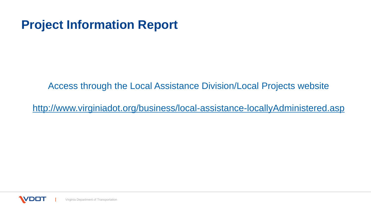#### **Project Information Report**

Access through the Local Assistance Division/Local Projects website

<http://www.virginiadot.org/business/local-assistance-locallyAdministered.asp>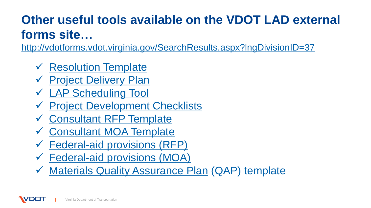# **Other useful tools available on the VDOT LAD external forms site…**

<http://vdotforms.vdot.virginia.gov/SearchResults.aspx?lngDivisionID=37>

- **✓ [Resolution Template](http://vdotforms.vdot.virginia.gov/SearchResults.aspx?filename=Resolution_Template.docx)**
- [Project Delivery Plan](http://vdotforms.vdot.virginia.gov/SearchResults.aspx?filename=ProjectDeliveryPlanForm.xlsx)
- [LAP Scheduling Tool](http://vdotforms.vdot.virginia.gov/SearchResults.aspx?filename=LAP Schedule Tool.xlsx)
- [Project Development Checklists](http://vdotforms.vdot.virginia.gov/SearchResults.aspx?filename=checklist_9_2_2014.xlsx)
- [Consultant RFP Template](http://vdotforms.vdot.virginia.gov/SearchResults.aspx?filename=RFP Template.doc)
- [Consultant MOA Template](http://vdotforms.vdot.virginia.gov/SearchResults.aspx?filename=MOA Template.doc)
- $\checkmark$  [Federal-aid provisions \(RFP\)](http://vdotforms.vdot.virginia.gov/SearchResults.aspx?filename=Mandatory RFP Provisions.doc)
- [Federal-aid provisions \(MOA\)](http://vdotforms.vdot.virginia.gov/SearchResults.aspx?filename=Mandatory MOA Provisions.doc)
- [Materials Quality Assurance Plan](http://vdotforms.vdot.virginia.gov/SearchResults.aspx?filename=Materials QAP template.docx) (QAP) template